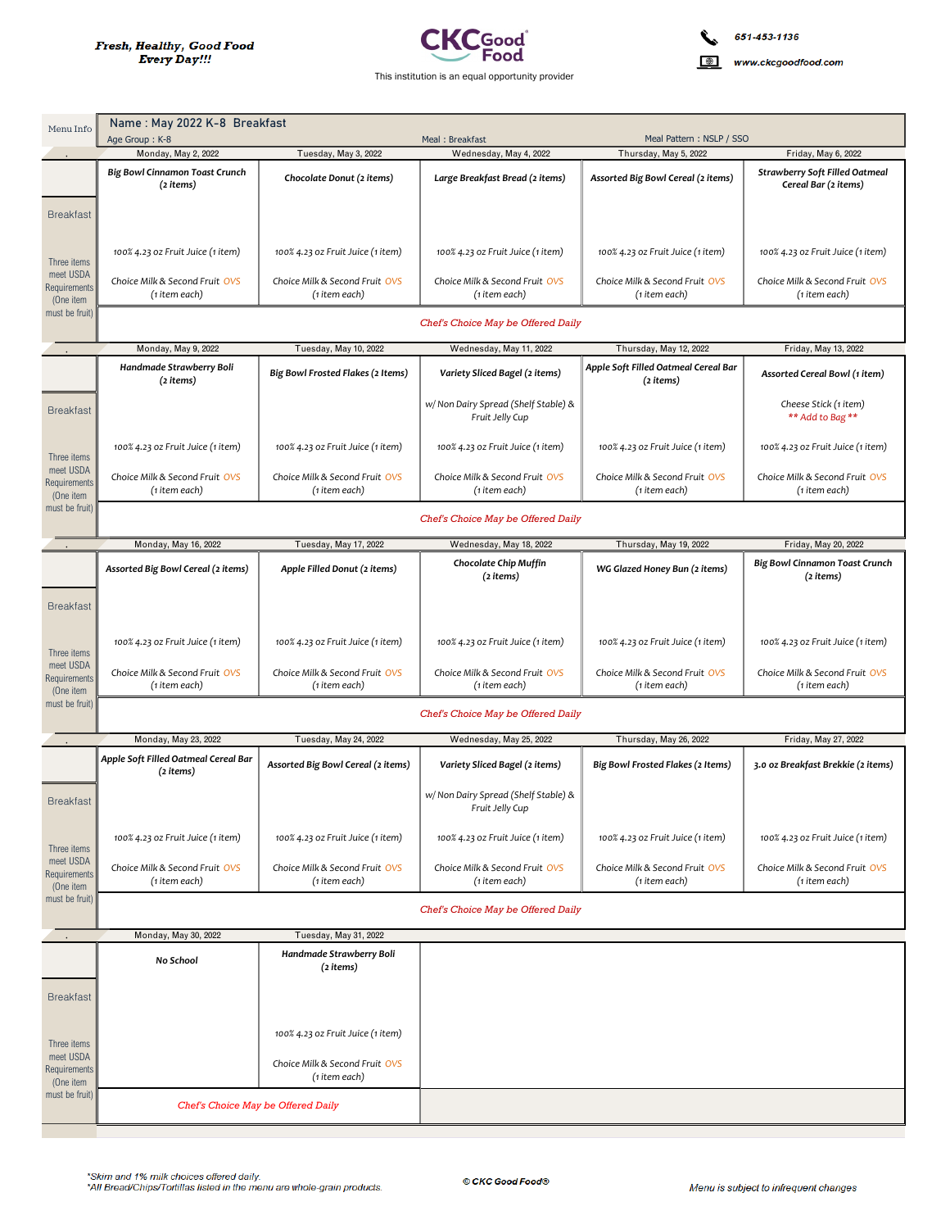

www.ckcgoodfood.com

| Menu Info                              | Name: May 2022 K-8 Breakfast<br>Age Group: K-8<br>Meal Pattern: NSLP / SSO<br>Meal: Breakfast |                                                 |                                                         |                                                   |                                                               |  |  |
|----------------------------------------|-----------------------------------------------------------------------------------------------|-------------------------------------------------|---------------------------------------------------------|---------------------------------------------------|---------------------------------------------------------------|--|--|
|                                        | Tuesday, May 3, 2022<br>Monday, May 2, 2022                                                   |                                                 | Wednesday, May 4, 2022                                  | Thursday, May 5, 2022<br>Friday, May 6, 2022      |                                                               |  |  |
|                                        | <b>Big Bowl Cinnamon Toast Crunch</b><br>(2 items)                                            | Chocolate Donut (2 items)                       | Large Breakfast Bread (2 items)                         | Assorted Big Bowl Cereal (2 items)                | <b>Strawberry Soft Filled Oatmeal</b><br>Cereal Bar (2 items) |  |  |
| <b>Breakfast</b>                       |                                                                                               |                                                 |                                                         |                                                   |                                                               |  |  |
| Three items                            | 100% 4.23 oz Fruit Juice (1 item)                                                             | 100% 4.23 oz Fruit Juice (1 item)               | 100% 4.23 oz Fruit Juice (1 item)                       | 100% 4.23 oz Fruit Juice (1 item)                 | 100% 4.23 oz Fruit Juice (1 item)                             |  |  |
| meet USDA<br>Requirements<br>(One item | Choice Milk & Second Fruit OVS<br>(1 item each)                                               | Choice Milk & Second Fruit OVS<br>(1 item each) | Choice Milk & Second Fruit OVS<br>(1 item each)         | Choice Milk & Second Fruit OVS<br>(1 item each)   | Choice Milk & Second Fruit OVS<br>(1 item each)               |  |  |
| must be fruit)                         | Chef's Choice May be Offered Daily                                                            |                                                 |                                                         |                                                   |                                                               |  |  |
|                                        | Monday, May 9, 2022                                                                           | Tuesday, May 10, 2022                           | Wednesday, May 11, 2022                                 | Thursday, May 12, 2022                            | Friday, May 13, 2022                                          |  |  |
|                                        | Handmade Strawberry Boli<br>(2 items)                                                         | Big Bowl Frosted Flakes (2 Items)               | Variety Sliced Bagel (2 items)                          | Apple Soft Filled Oatmeal Cereal Bar<br>(2 items) | Assorted Cereal Bowl (1 item)                                 |  |  |
| <b>Breakfast</b>                       |                                                                                               |                                                 | w/ Non Dairy Spread (Shelf Stable) &<br>Fruit Jelly Cup |                                                   | Cheese Stick (1 item)<br>** Add to Bag **                     |  |  |
| Three items                            | 100% 4.23 oz Fruit Juice (1 item)                                                             | 100% 4.23 oz Fruit Juice (1 item)               | 100% 4.23 oz Fruit Juice (1 item)                       | 100% 4.23 oz Fruit Juice (1 item)                 | 100% 4.23 oz Fruit Juice (1 item)                             |  |  |
| meet USDA<br>Requirements<br>(One item | Choice Milk & Second Fruit OVS<br>(1 item each)                                               | Choice Milk & Second Fruit OVS<br>(1 item each) | Choice Milk & Second Fruit OVS<br>(1 item each)         | Choice Milk & Second Fruit OVS<br>(1 item each)   | Choice Milk & Second Fruit OVS<br>(1 item each)               |  |  |
| must be fruit)                         | Chef's Choice May be Offered Daily                                                            |                                                 |                                                         |                                                   |                                                               |  |  |
|                                        | Monday, May 16, 2022                                                                          | Tuesday, May 17, 2022                           | Wednesday, May 18, 2022                                 | Thursday, May 19, 2022                            | Friday, May 20, 2022                                          |  |  |
|                                        | Assorted Big Bowl Cereal (2 items)                                                            | Apple Filled Donut (2 items)                    | Chocolate Chip Muffin<br>(2 items)                      | WG Glazed Honey Bun (2 items)                     | <b>Big Bowl Cinnamon Toast Crunch</b><br>(2 items)            |  |  |
| <b>Breakfast</b>                       |                                                                                               |                                                 |                                                         |                                                   |                                                               |  |  |
| Three items                            | 100% 4.23 oz Fruit Juice (1 item)                                                             | 100% 4.23 oz Fruit Juice (1 item)               | 100% 4.23 oz Fruit Juice (1 item)                       | 100% 4.23 oz Fruit Juice (1 item)                 | 100% 4.23 oz Fruit Juice (1 item)                             |  |  |
| meet USDA<br>Requirements<br>(One item | Choice Milk & Second Fruit OVS<br>(1 item each)                                               | Choice Milk & Second Fruit OVS<br>(1 item each) | Choice Milk & Second Fruit OVS<br>(1 item each)         | Choice Milk & Second Fruit OVS<br>(1 item each)   | Choice Milk & Second Fruit OVS<br>(1 item each)               |  |  |
| must be fruit)                         | Chef's Choice May be Offered Daily                                                            |                                                 |                                                         |                                                   |                                                               |  |  |
|                                        | Monday, May 23, 2022                                                                          | Tuesday, May 24, 2022                           | Wednesday, May 25, 2022                                 | Thursday, May 26, 2022                            | Friday, May 27, 2022                                          |  |  |
|                                        | Apple Soft Filled Oatmeal Cereal Bar<br>(2 items)                                             | Assorted Big Bowl Cereal (2 items)              | Variety Sliced Bagel (2 items)                          | Big Bowl Frosted Flakes (2 Items)                 | 3.0 oz Breakfast Brekkie (2 items)                            |  |  |
| <b>Breakfast</b>                       |                                                                                               |                                                 | w/ Non Dairy Spread (Shelf Stable) &<br>Fruit Jelly Cup |                                                   |                                                               |  |  |
| Three items                            | 100% 4.23 oz Fruit Juice (1 item)                                                             | 100% 4.23 oz Fruit Juice (1 item)               | 100% 4.23 oz Fruit Juice (1 item)                       | 100% 4.23 oz Fruit Juice (1 item)                 | 100% 4.23 oz Fruit Juice (1 item)                             |  |  |
| meet USDA<br>Requirements<br>(One item | Choice Milk & Second Fruit OVS<br>(1 item each)                                               | Choice Milk & Second Fruit OVS<br>(1 item each) | Choice Milk & Second Fruit OVS<br>(1 item each)         | Choice Milk & Second Fruit OVS<br>(1 item each)   | Choice Milk & Second Fruit OVS<br>(1 item each)               |  |  |
| must be fruit)                         | Chef's Choice May be Offered Daily                                                            |                                                 |                                                         |                                                   |                                                               |  |  |
|                                        | Monday, May 30, 2022                                                                          | Tuesday, May 31, 2022                           |                                                         |                                                   |                                                               |  |  |
|                                        | No School                                                                                     | Handmade Strawberry Boli<br>(2 items)           |                                                         |                                                   |                                                               |  |  |
| <b>Breakfast</b>                       |                                                                                               |                                                 |                                                         |                                                   |                                                               |  |  |
| Three items                            |                                                                                               | 100% 4.23 oz Fruit Juice (1 item)               |                                                         |                                                   |                                                               |  |  |
| meet USDA<br>Requirements<br>(One item |                                                                                               | Choice Milk & Second Fruit OVS<br>(1 item each) |                                                         |                                                   |                                                               |  |  |
| must be fruit)                         | Chef's Choice May be Offered Daily                                                            |                                                 |                                                         |                                                   |                                                               |  |  |